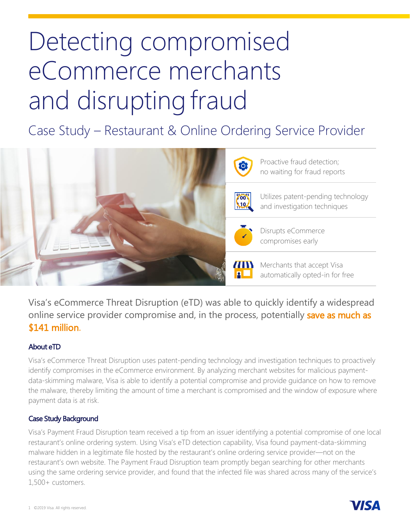## Detecting compromised eCommerce merchants and disrupting fraud

Case Study – Restaurant & Online Ordering Service Provider



Visa's eCommerce Threat Disruption (eTD) was able to quickly identify a widespread online service provider compromise and, in the process, potentially save as much as \$141 million.

## About eTD

Visa's eCommerce Threat Disruption uses patent-pending technology and investigation techniques to proactively identify compromises in the eCommerce environment. By analyzing merchant websites for malicious paymentdata-skimming malware, Visa is able to identify a potential compromise and provide guidance on how to remove the malware, thereby limiting the amount of time a merchant is compromised and the window of exposure where payment data is at risk.

## Case Study Background

Visa's Payment Fraud Disruption team received a tip from an issuer identifying a potential compromise of one local restaurant's online ordering system. Using Visa's eTD detection capability, Visa found payment-data-skimming malware hidden in a legitimate file hosted by the restaurant's online ordering service provider—not on the restaurant's own website. The Payment Fraud Disruption team promptly began searching for other merchants using the same ordering service provider, and found that the infected file was shared across many of the service's 1,500+ customers.